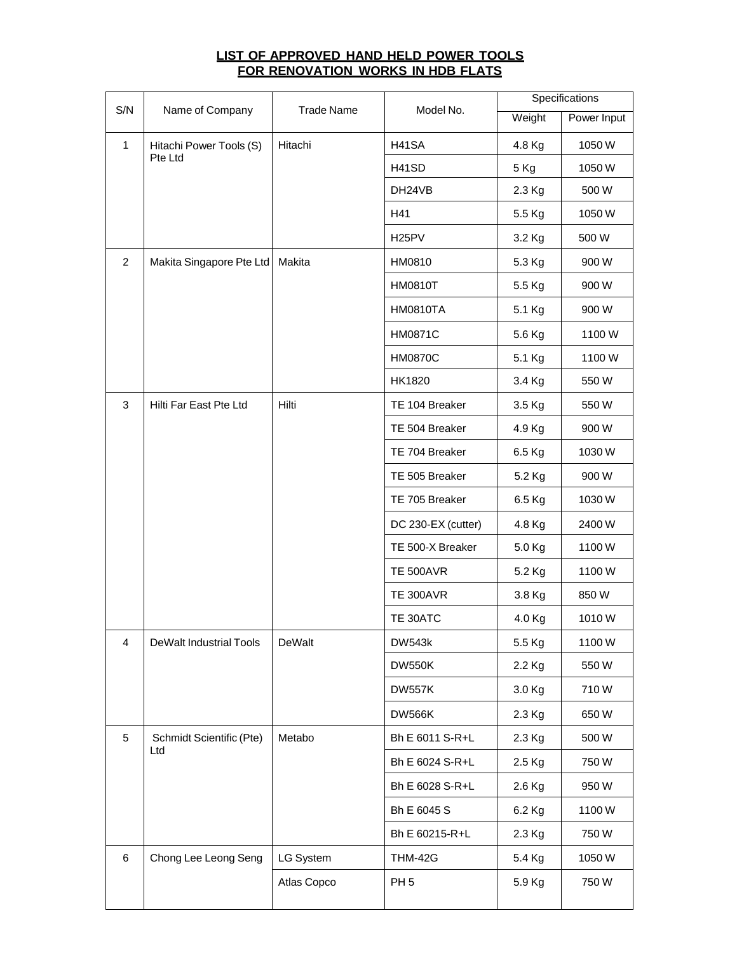## **LIST OF APPROVED HAND HELD POWER TOOLS FOR RENOVATION WORKS IN HDB FLATS**

| S/N            | Name of Company                    | <b>Trade Name</b> | Model No.          | Specifications |             |
|----------------|------------------------------------|-------------------|--------------------|----------------|-------------|
|                |                                    |                   |                    | Weight         | Power Input |
| $\mathbf{1}$   | Hitachi Power Tools (S)<br>Pte Ltd | Hitachi           | <b>H41SA</b>       | 4.8 Kg         | 1050W       |
|                |                                    |                   | H41SD              | 5 Kg           | 1050W       |
|                |                                    |                   | DH24VB             | 2.3 Kg         | 500W        |
|                |                                    |                   | H41                | 5.5 Kg         | 1050W       |
|                |                                    |                   | H <sub>25</sub> PV | 3.2 Kg         | 500 W       |
| 2              | Makita Singapore Pte Ltd           | Makita            | HM0810             | 5.3 Kg         | 900W        |
|                |                                    |                   | <b>HM0810T</b>     | 5.5 Kg         | 900W        |
|                |                                    |                   | <b>HM0810TA</b>    | 5.1 Kg         | 900W        |
|                |                                    |                   | <b>HM0871C</b>     | 5.6 Kg         | 1100W       |
|                |                                    |                   | <b>HM0870C</b>     | 5.1 Kg         | 1100W       |
|                |                                    |                   | HK1820             | 3.4 Kg         | 550W        |
| 3              | Hilti Far East Pte Ltd             | Hilti             | TE 104 Breaker     | 3.5 Kg         | 550W        |
|                |                                    |                   | TE 504 Breaker     | 4.9 Kg         | 900W        |
|                |                                    |                   | TE 704 Breaker     | 6.5 Kg         | 1030W       |
|                |                                    |                   | TE 505 Breaker     | 5.2 Kg         | 900W        |
|                |                                    |                   | TE 705 Breaker     | 6.5 Kg         | 1030W       |
|                |                                    |                   | DC 230-EX (cutter) | 4.8 Kg         | 2400W       |
|                |                                    |                   | TE 500-X Breaker   | 5.0 Kg         | 1100W       |
|                |                                    |                   | <b>TE 500AVR</b>   | 5.2 Kg         | 1100W       |
|                |                                    |                   | <b>TE 300AVR</b>   | 3.8 Kg         | 850W        |
|                |                                    |                   | TE 30ATC           | 4.0 Kg         | 1010W       |
| $\overline{4}$ | <b>DeWalt Industrial Tools</b>     | DeWalt            | <b>DW543k</b>      | 5.5 Kg         | 1100W       |
|                |                                    |                   | <b>DW550K</b>      | 2.2 Kg         | 550W        |
|                |                                    |                   | <b>DW557K</b>      | 3.0 Kg         | 710W        |
|                |                                    |                   | <b>DW566K</b>      | 2.3 Kg         | 650W        |
| 5              | Schmidt Scientific (Pte)<br>Ltd    | Metabo            | Bh E 6011 S-R+L    | 2.3 Kg         | 500 W       |
|                |                                    |                   | Bh E 6024 S-R+L    | 2.5 Kg         | 750W        |
|                |                                    |                   | Bh E 6028 S-R+L    | 2.6 Kg         | 950W        |
|                |                                    |                   | Bh E 6045 S        | 6.2 Kg         | 1100W       |
|                |                                    |                   | Bh E 60215-R+L     | 2.3 Kg         | 750W        |
| 6              | Chong Lee Leong Seng               | LG System         | <b>THM-42G</b>     | 5.4 Kg         | 1050W       |
|                |                                    | Atlas Copco       | PH <sub>5</sub>    | 5.9 Kg         | 750W        |